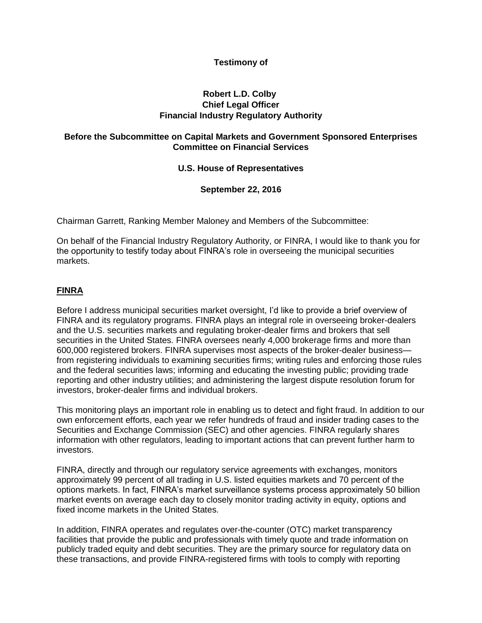### **Testimony of**

#### **Robert L.D. Colby Chief Legal Officer Financial Industry Regulatory Authority**

### **Before the Subcommittee on Capital Markets and Government Sponsored Enterprises Committee on Financial Services**

#### **U.S. House of Representatives**

#### **September 22, 2016**

Chairman Garrett, Ranking Member Maloney and Members of the Subcommittee:

On behalf of the Financial Industry Regulatory Authority, or FINRA, I would like to thank you for the opportunity to testify today about FINRA's role in overseeing the municipal securities markets.

### **FINRA**

Before I address municipal securities market oversight, I'd like to provide a brief overview of FINRA and its regulatory programs. FINRA plays an integral role in overseeing broker-dealers and the U.S. securities markets and regulating broker-dealer firms and brokers that sell securities in the United States. FINRA oversees nearly 4,000 brokerage firms and more than 600,000 registered brokers. FINRA supervises most aspects of the broker-dealer business from registering individuals to examining securities firms; writing rules and enforcing those rules and the federal securities laws; informing and educating the investing public; providing trade reporting and other industry utilities; and administering the largest dispute resolution forum for investors, broker-dealer firms and individual brokers.

This monitoring plays an important role in enabling us to detect and fight fraud. In addition to our own enforcement efforts, each year we refer hundreds of fraud and insider trading cases to the Securities and Exchange Commission (SEC) and other agencies. FINRA regularly shares information with other regulators, leading to important actions that can prevent further harm to investors.

FINRA, directly and through our regulatory service agreements with exchanges, monitors approximately 99 percent of all trading in U.S. listed equities markets and 70 percent of the options markets. In fact, FINRA's market surveillance systems process approximately 50 billion market events on average each day to closely monitor trading activity in equity, options and fixed income markets in the United States.

In addition, FINRA operates and regulates over-the-counter (OTC) market transparency facilities that provide the public and professionals with timely quote and trade information on publicly traded equity and debt securities. They are the primary source for regulatory data on these transactions, and provide FINRA-registered firms with tools to comply with reporting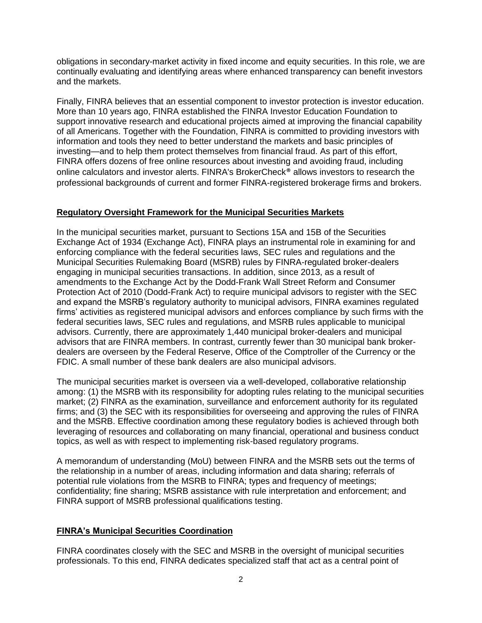obligations in secondary-market activity in fixed income and equity securities. In this role, we are continually evaluating and identifying areas where enhanced transparency can benefit investors and the markets.

Finally, FINRA believes that an essential component to investor protection is investor education. More than 10 years ago, FINRA established the FINRA Investor Education Foundation to support innovative research and educational projects aimed at improving the financial capability of all Americans. Together with the Foundation, FINRA is committed to providing investors with information and tools they need to better understand the markets and basic principles of investing—and to help them protect themselves from financial fraud. As part of this effort, FINRA offers dozens of free online resources about investing and avoiding fraud, including online calculators and investor alerts. FINRA's BrokerCheck® allows investors to research the professional backgrounds of current and former FINRA-registered brokerage firms and brokers.

# **Regulatory Oversight Framework for the Municipal Securities Markets**

In the municipal securities market, pursuant to Sections 15A and 15B of the Securities Exchange Act of 1934 (Exchange Act), FINRA plays an instrumental role in examining for and enforcing compliance with the federal securities laws, SEC rules and regulations and the Municipal Securities Rulemaking Board (MSRB) rules by FINRA-regulated broker-dealers engaging in municipal securities transactions. In addition, since 2013, as a result of amendments to the Exchange Act by the Dodd-Frank Wall Street Reform and Consumer Protection Act of 2010 (Dodd-Frank Act) to require municipal advisors to register with the SEC and expand the MSRB's regulatory authority to municipal advisors, FINRA examines regulated firms' activities as registered municipal advisors and enforces compliance by such firms with the federal securities laws, SEC rules and regulations, and MSRB rules applicable to municipal advisors. Currently, there are approximately 1,440 municipal broker-dealers and municipal advisors that are FINRA members. In contrast, currently fewer than 30 municipal bank brokerdealers are overseen by the Federal Reserve, Office of the Comptroller of the Currency or the FDIC. A small number of these bank dealers are also municipal advisors.

The municipal securities market is overseen via a well-developed, collaborative relationship among: (1) the MSRB with its responsibility for adopting rules relating to the municipal securities market; (2) FINRA as the examination, surveillance and enforcement authority for its regulated firms; and (3) the SEC with its responsibilities for overseeing and approving the rules of FINRA and the MSRB. Effective coordination among these regulatory bodies is achieved through both leveraging of resources and collaborating on many financial, operational and business conduct topics, as well as with respect to implementing risk-based regulatory programs.

A memorandum of understanding (MoU) between FINRA and the MSRB sets out the terms of the relationship in a number of areas, including information and data sharing; referrals of potential rule violations from the MSRB to FINRA; types and frequency of meetings; confidentiality; fine sharing; MSRB assistance with rule interpretation and enforcement; and FINRA support of MSRB professional qualifications testing.

# **FINRA's Municipal Securities Coordination**

FINRA coordinates closely with the SEC and MSRB in the oversight of municipal securities professionals. To this end, FINRA dedicates specialized staff that act as a central point of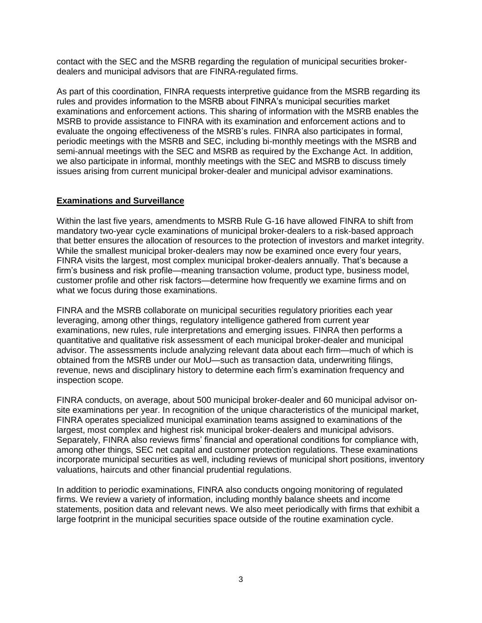contact with the SEC and the MSRB regarding the regulation of municipal securities brokerdealers and municipal advisors that are FINRA-regulated firms.

As part of this coordination, FINRA requests interpretive guidance from the MSRB regarding its rules and provides information to the MSRB about FINRA's municipal securities market examinations and enforcement actions. This sharing of information with the MSRB enables the MSRB to provide assistance to FINRA with its examination and enforcement actions and to evaluate the ongoing effectiveness of the MSRB's rules. FINRA also participates in formal, periodic meetings with the MSRB and SEC, including bi-monthly meetings with the MSRB and semi-annual meetings with the SEC and MSRB as required by the Exchange Act. In addition, we also participate in informal, monthly meetings with the SEC and MSRB to discuss timely issues arising from current municipal broker-dealer and municipal advisor examinations.

#### **Examinations and Surveillance**

Within the last five years, amendments to MSRB Rule G-16 have allowed FINRA to shift from mandatory two-year cycle examinations of municipal broker-dealers to a risk-based approach that better ensures the allocation of resources to the protection of investors and market integrity. While the smallest municipal broker-dealers may now be examined once every four years, FINRA visits the largest, most complex municipal broker-dealers annually. That's because a firm's business and risk profile—meaning transaction volume, product type, business model, customer profile and other risk factors—determine how frequently we examine firms and on what we focus during those examinations.

FINRA and the MSRB collaborate on municipal securities regulatory priorities each year leveraging, among other things, regulatory intelligence gathered from current year examinations, new rules, rule interpretations and emerging issues. FINRA then performs a quantitative and qualitative risk assessment of each municipal broker-dealer and municipal advisor. The assessments include analyzing relevant data about each firm—much of which is obtained from the MSRB under our MoU—such as transaction data, underwriting filings, revenue, news and disciplinary history to determine each firm's examination frequency and inspection scope.

FINRA conducts, on average, about 500 municipal broker-dealer and 60 municipal advisor onsite examinations per year. In recognition of the unique characteristics of the municipal market, FINRA operates specialized municipal examination teams assigned to examinations of the largest, most complex and highest risk municipal broker-dealers and municipal advisors. Separately, FINRA also reviews firms' financial and operational conditions for compliance with, among other things, SEC net capital and customer protection regulations. These examinations incorporate municipal securities as well, including reviews of municipal short positions, inventory valuations, haircuts and other financial prudential regulations.

In addition to periodic examinations, FINRA also conducts ongoing monitoring of regulated firms. We review a variety of information, including monthly balance sheets and income statements, position data and relevant news. We also meet periodically with firms that exhibit a large footprint in the municipal securities space outside of the routine examination cycle.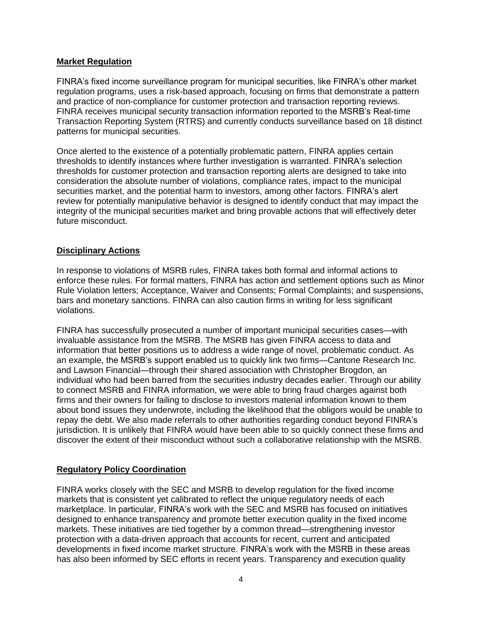### **Market Regulation**

FINRA's fixed income surveillance program for municipal securities, like FINRA's other market regulation programs, uses a risk-based approach, focusing on firms that demonstrate a pattern and practice of non-compliance for customer protection and transaction reporting reviews. FINRA receives municipal security transaction information reported to the MSRB's Real-time Transaction Reporting System (RTRS) and currently conducts surveillance based on 18 distinct patterns for municipal securities.

Once alerted to the existence of a potentially problematic pattern, FINRA applies certain thresholds to identify instances where further investigation is warranted. FINRA's selection thresholds for customer protection and transaction reporting alerts are designed to take into consideration the absolute number of violations, compliance rates, impact to the municipal securities market, and the potential harm to investors, among other factors. FINRA's alert review for potentially manipulative behavior is designed to identify conduct that may impact the integrity of the municipal securities market and bring provable actions that will effectively deter future misconduct.

#### **Disciplinary Actions**

In response to violations of MSRB rules, FINRA takes both formal and informal actions to enforce these rules. For formal matters, FINRA has action and settlement options such as Minor Rule Violation letters; Acceptance, Waiver and Consents; Formal Complaints; and suspensions, bars and monetary sanctions. FINRA can also caution firms in writing for less significant violations.

FINRA has successfully prosecuted a number of important municipal securities cases—with invaluable assistance from the MSRB. The MSRB has given FINRA access to data and information that better positions us to address a wide range of novel, problematic conduct. As an example, the MSRB's support enabled us to quickly link two firms—Cantone Research Inc. and Lawson Financial—through their shared association with Christopher Brogdon, an individual who had been barred from the securities industry decades earlier. Through our ability to connect MSRB and FINRA information, we were able to bring fraud charges against both firms and their owners for failing to disclose to investors material information known to them about bond issues they underwrote, including the likelihood that the obligors would be unable to repay the debt. We also made referrals to other authorities regarding conduct beyond FINRA's jurisdiction. It is unlikely that FINRA would have been able to so quickly connect these firms and discover the extent of their misconduct without such a collaborative relationship with the MSRB.

### **Regulatory Policy Coordination**

FINRA works closely with the SEC and MSRB to develop regulation for the fixed income markets that is consistent yet calibrated to reflect the unique regulatory needs of each marketplace. In particular, FINRA's work with the SEC and MSRB has focused on initiatives designed to enhance transparency and promote better execution quality in the fixed income markets. These initiatives are tied together by a common thread—strengthening investor protection with a data-driven approach that accounts for recent, current and anticipated developments in fixed income market structure. FINRA's work with the MSRB in these areas has also been informed by SEC efforts in recent years. Transparency and execution quality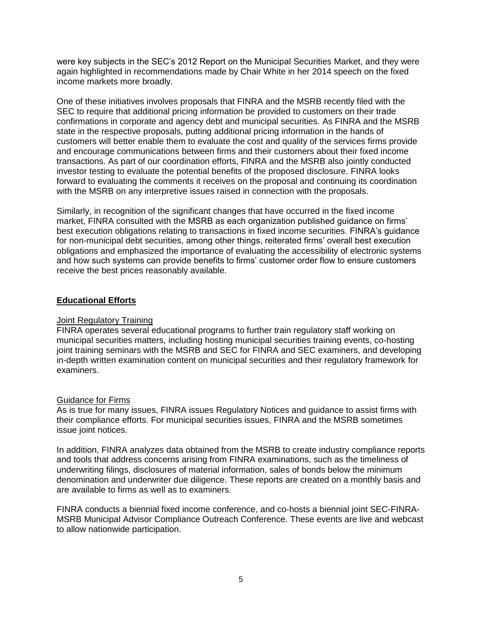were key subjects in the SEC's 2012 Report on the Municipal Securities Market, and they were again highlighted in recommendations made by Chair White in her 2014 speech on the fixed income markets more broadly.

One of these initiatives involves proposals that FINRA and the MSRB recently filed with the SEC to require that additional pricing information be provided to customers on their trade confirmations in corporate and agency debt and municipal securities. As FINRA and the MSRB state in the respective proposals, putting additional pricing information in the hands of customers will better enable them to evaluate the cost and quality of the services firms provide and encourage communications between firms and their customers about their fixed income transactions. As part of our coordination efforts, FINRA and the MSRB also jointly conducted investor testing to evaluate the potential benefits of the proposed disclosure. FINRA looks forward to evaluating the comments it receives on the proposal and continuing its coordination with the MSRB on any interpretive issues raised in connection with the proposals.

Similarly, in recognition of the significant changes that have occurred in the fixed income market, FINRA consulted with the MSRB as each organization published guidance on firms' best execution obligations relating to transactions in fixed income securities. FINRA's guidance for non-municipal debt securities, among other things, reiterated firms' overall best execution obligations and emphasized the importance of evaluating the accessibility of electronic systems and how such systems can provide benefits to firms' customer order flow to ensure customers receive the best prices reasonably available.

# **Educational Efforts**

### **Joint Regulatory Training**

FINRA operates several educational programs to further train regulatory staff working on municipal securities matters, including hosting municipal securities training events, co-hosting joint training seminars with the MSRB and SEC for FINRA and SEC examiners, and developing in-depth written examination content on municipal securities and their regulatory framework for examiners.

### Guidance for Firms

As is true for many issues, FINRA issues Regulatory Notices and guidance to assist firms with their compliance efforts. For municipal securities issues, FINRA and the MSRB sometimes issue joint notices.

In addition, FINRA analyzes data obtained from the MSRB to create industry compliance reports and tools that address concerns arising from FINRA examinations, such as the timeliness of underwriting filings, disclosures of material information, sales of bonds below the minimum denomination and underwriter due diligence. These reports are created on a monthly basis and are available to firms as well as to examiners.

FINRA conducts a biennial fixed income conference, and co-hosts a biennial joint SEC-FINRA-MSRB Municipal Advisor Compliance Outreach Conference. These events are live and webcast to allow nationwide participation.